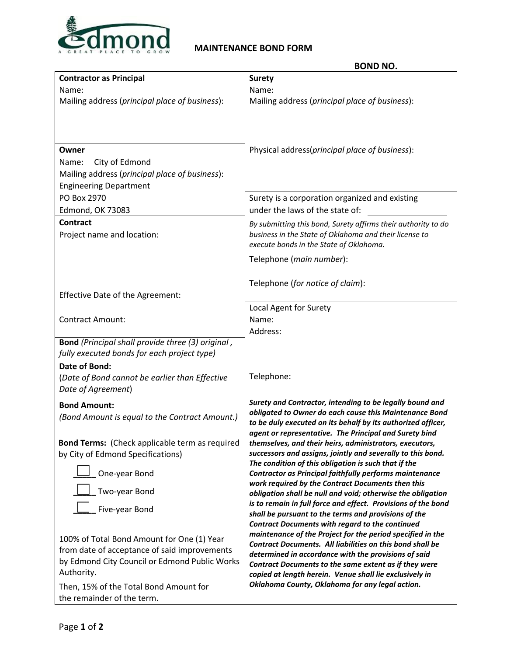

## **MAINTENANCE BOND FORM**

|                                                       | <b>BOND NO.</b>                                                                                                                |
|-------------------------------------------------------|--------------------------------------------------------------------------------------------------------------------------------|
| <b>Contractor as Principal</b>                        | <b>Surety</b>                                                                                                                  |
| Name:                                                 | Name:                                                                                                                          |
| Mailing address (principal place of business):        | Mailing address (principal place of business):                                                                                 |
|                                                       |                                                                                                                                |
|                                                       |                                                                                                                                |
|                                                       |                                                                                                                                |
| Owner                                                 | Physical address(principal place of business):                                                                                 |
| City of Edmond<br>Name:                               |                                                                                                                                |
| Mailing address (principal place of business):        |                                                                                                                                |
| <b>Engineering Department</b>                         |                                                                                                                                |
| PO Box 2970                                           | Surety is a corporation organized and existing                                                                                 |
| <b>Edmond, OK 73083</b>                               | under the laws of the state of:                                                                                                |
| <b>Contract</b>                                       | By submitting this bond, Surety affirms their authority to do                                                                  |
| Project name and location:                            | business in the State of Oklahoma and their license to<br>execute bonds in the State of Oklahoma.                              |
|                                                       |                                                                                                                                |
|                                                       | Telephone (main number):                                                                                                       |
|                                                       | Telephone (for notice of claim):                                                                                               |
| Effective Date of the Agreement:                      |                                                                                                                                |
|                                                       | Local Agent for Surety                                                                                                         |
| <b>Contract Amount:</b>                               | Name:                                                                                                                          |
|                                                       | Address:                                                                                                                       |
| Bond (Principal shall provide three (3) original,     |                                                                                                                                |
| fully executed bonds for each project type)           |                                                                                                                                |
| <b>Date of Bond:</b>                                  |                                                                                                                                |
| (Date of Bond cannot be earlier than Effective        | Telephone:                                                                                                                     |
| Date of Agreement)                                    |                                                                                                                                |
| <b>Bond Amount:</b>                                   | Surety and Contractor, intending to be legally bound and                                                                       |
| (Bond Amount is equal to the Contract Amount.)        | obligated to Owner do each cause this Maintenance Bond                                                                         |
|                                                       | to be duly executed on its behalf by its authorized officer,                                                                   |
| <b>Bond Terms:</b> (Check applicable term as required | agent or representative. The Principal and Surety bind<br>themselves, and their heirs, administrators, executors,              |
| by City of Edmond Specifications)                     | successors and assigns, jointly and severally to this bond.                                                                    |
|                                                       | The condition of this obligation is such that if the                                                                           |
| One-year Bond                                         | Contractor as Principal faithfully performs maintenance                                                                        |
| Two-year Bond                                         | work required by the Contract Documents then this<br>obligation shall be null and void; otherwise the obligation               |
|                                                       | is to remain in full force and effect. Provisions of the bond                                                                  |
| Five-year Bond                                        | shall be pursuant to the terms and provisions of the                                                                           |
|                                                       | <b>Contract Documents with regard to the continued</b>                                                                         |
| 100% of Total Bond Amount for One (1) Year            | maintenance of the Project for the period specified in the<br><b>Contract Documents. All liabilities on this bond shall be</b> |
| from date of acceptance of said improvements          | determined in accordance with the provisions of said                                                                           |
| by Edmond City Council or Edmond Public Works         | Contract Documents to the same extent as if they were                                                                          |
| Authority.                                            | copied at length herein. Venue shall lie exclusively in                                                                        |
| Then, 15% of the Total Bond Amount for                | Oklahoma County, Oklahoma for any legal action.                                                                                |
| the remainder of the term.                            |                                                                                                                                |